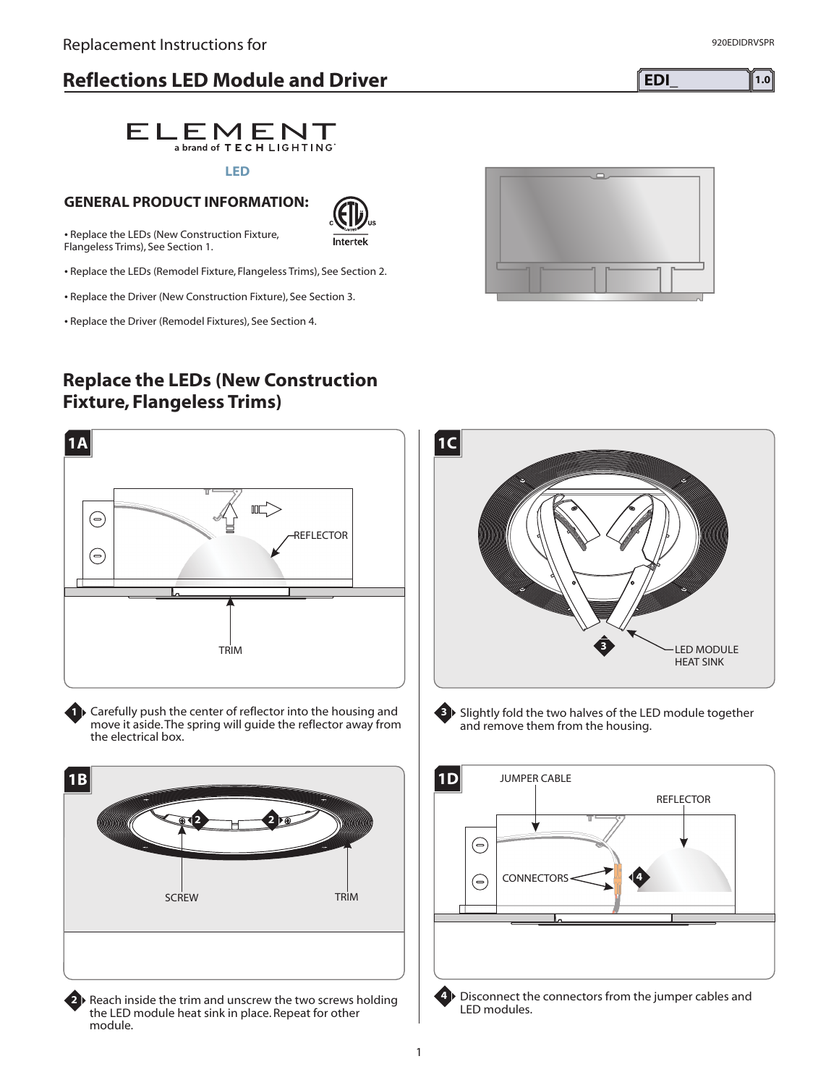# **Reflections LED Module and Driver EDI\_ EDI\_ EDI\_ EDI\_**

**LED**

 $ELEMENT$ 

1

**GENERAL PRODUCT INFORMATION:** - Replace the LEDs (New Construction Fixture,

Flangeless Trims), See Section 1.

- Replace the LEDs (Remodel Fixture, Flangeless Trims), See Section 2.

- Replace the Driver (New Construction Fixture), See Section 3.

- Replace the Driver (Remodel Fixtures), See Section 4.

**1A**

⊝

⊜

**1B**

## **Replace the LEDs (New Construction Fixture, Flangeless Trims)**

TRIM

 $\mathbb{I}$ 

REFLECTOR

Intertek

**1** Carefully push the center of reflector into the housing and move it aside.The spring will guide the reflector away from the electrical box.

**2**

**2**

SCREW TRIM

**2** Reach inside the trim and unscrew the two screws holding the LED module heat sink in place. Repeat for other module.



**3** Slightly fold the two halves of the LED module together

and remove them from the housing.



**4** Disconnect the connectors from the jumper cables and LED modules.

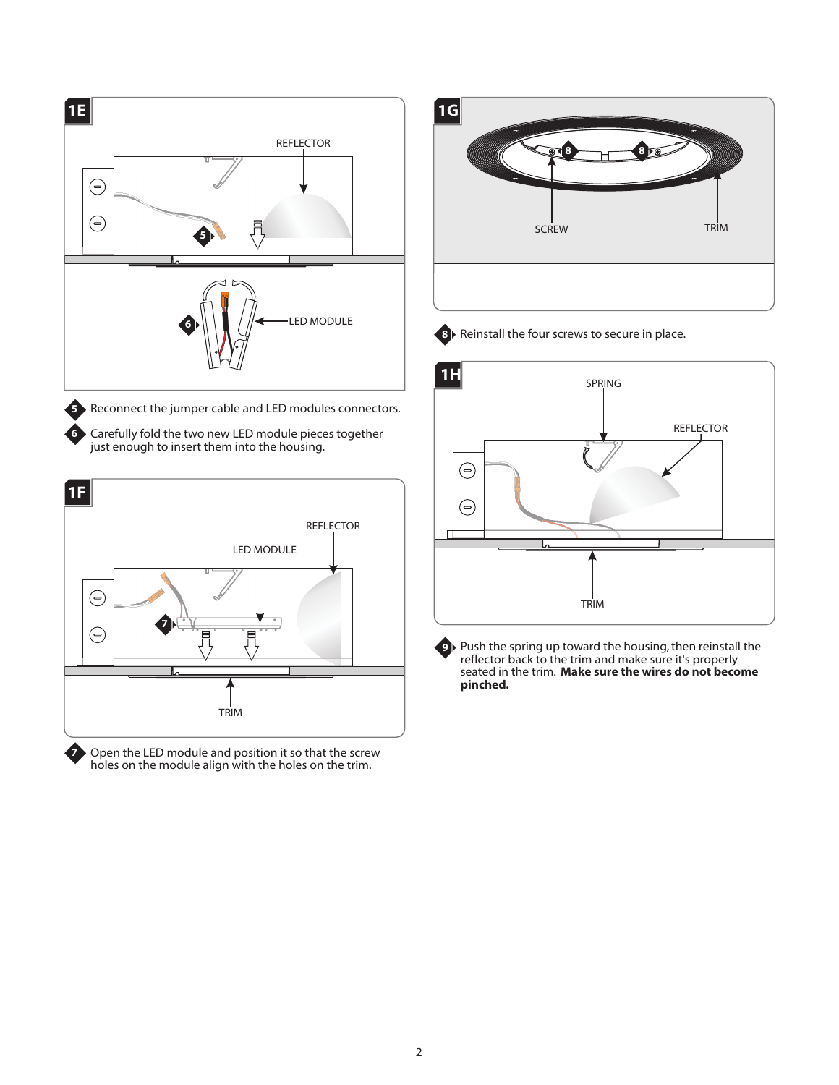

Open the LED module and position it so that the screw holes on the module align with the holes on the trim. **7**

**1G 8** SCREW TRIM **8**

**8** Reinstall the four screws to secure in place.



**9** Push the spring up toward the housing, then reinstall the reflector back to the trim and make sure it's properly seated in the trim. **Make sure the wires do not become pinched.**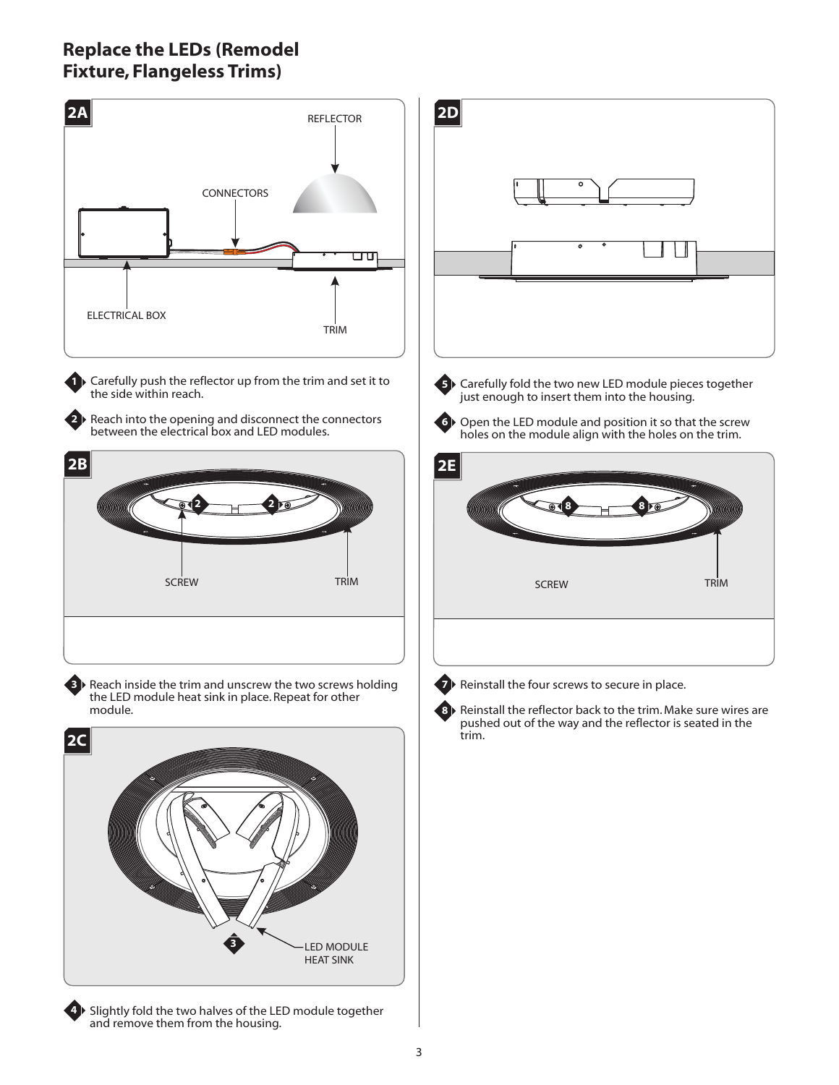# **Replace the LEDs (Remodel Fixture, Flangeless Trims)**

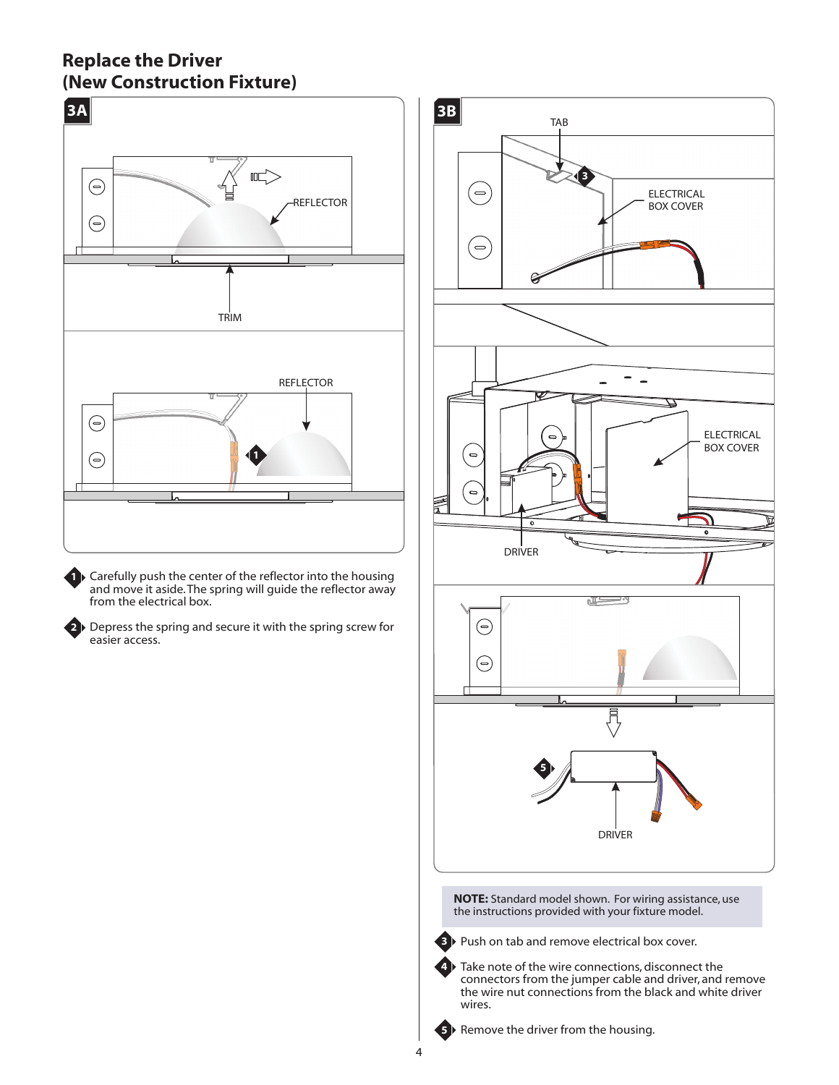### **Replace the Driver (New Construction Fixture)**



**1** Carefully push the center of the reflector into the housing and move it aside.The spring will guide the reflector away from the electrical box.

**2** Depress the spring and secure it with the spring screw for easier access.



**NOTE:** Standard model shown. For wiring assistance, use the instructions provided with your fixture model.



**3** ▶ Push on tab and remove electrical box cover.

4 ▶ Take note of the wire connections, disconnect the connectors from the jumper cable and driver, and remove the wire nut connections from the black and white driver wires.



**5** Bemove the driver from the housing.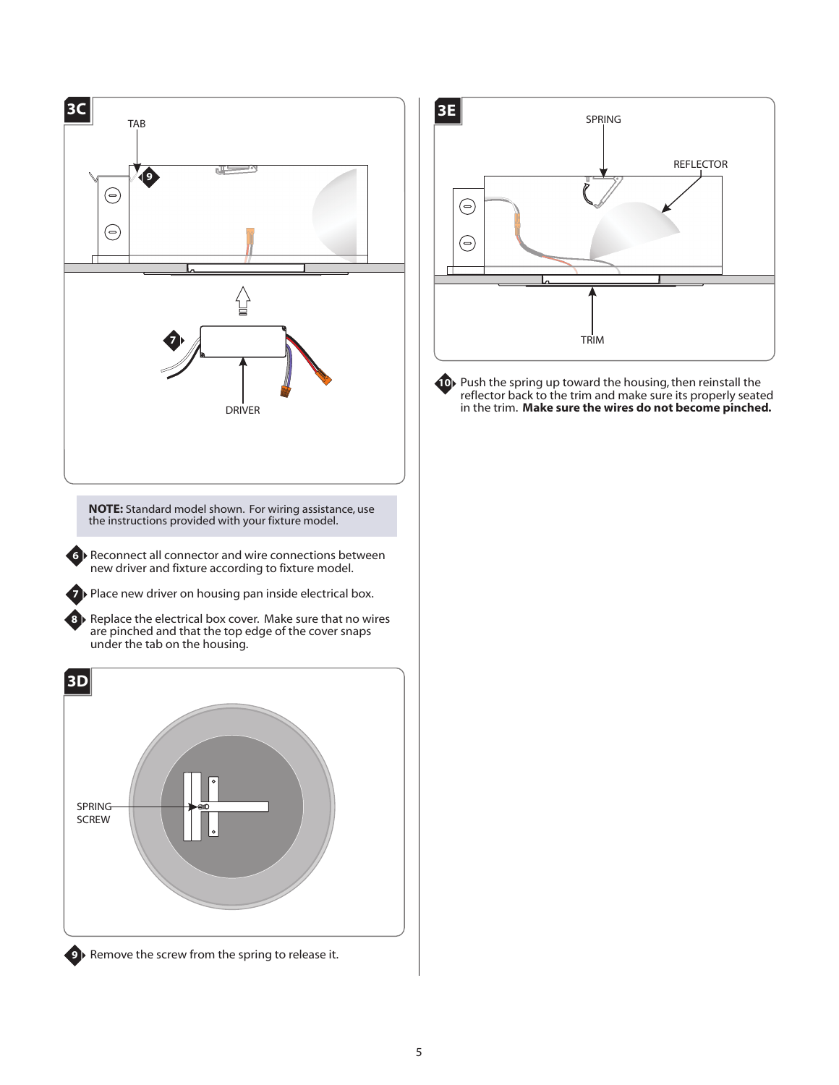

**9** Remove the screw from the spring to release it.



**10** Push the spring up toward the housing, then reinstall the reflector back to the trim and make sure its properly seated in the trim. **Make sure the wires do not become pinched.**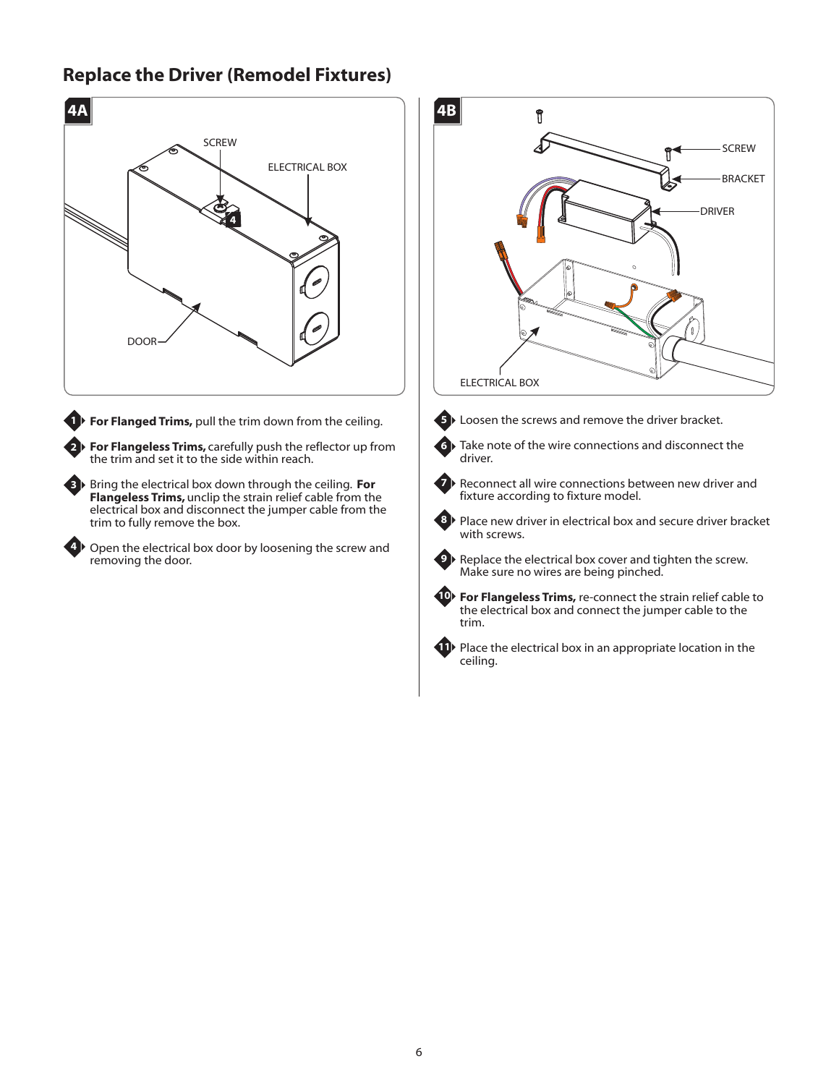#### **Replace the Driver (Remodel Fixtures)**





**4**

**1** For Flanged Trims, pull the trim down from the ceiling.

**For Flangeless Trims,** carefully push the reflector up from **2** the trim and set it to the side within reach.

**Bring the electrical box down through the ceiling. <b>For Flangeless Trims,** unclip the strain relief cable from the electrical box and disconnect the jumper cable from the trim to fully remove the box.

Open the electrical box door by loosening the screw and removing the door.





**5** Loosen the screws and remove the driver bracket.

**6**

**8**

driver.

Reconnect all wire connections between new driver and fixture according to fixture model.

Take note of the wire connections and disconnect the



Place new driver in electrical box and secure driver bracket with screws.



**9** Replace the electrical box cover and tighten the screw. Make sure no wires are being pinched.



**<sup>10</sup>** For Flangeless Trims, re-connect the strain relief cable to the electrical box and connect the jumper cable to the trim.



**11** Place the electrical box in an appropriate location in the ceiling.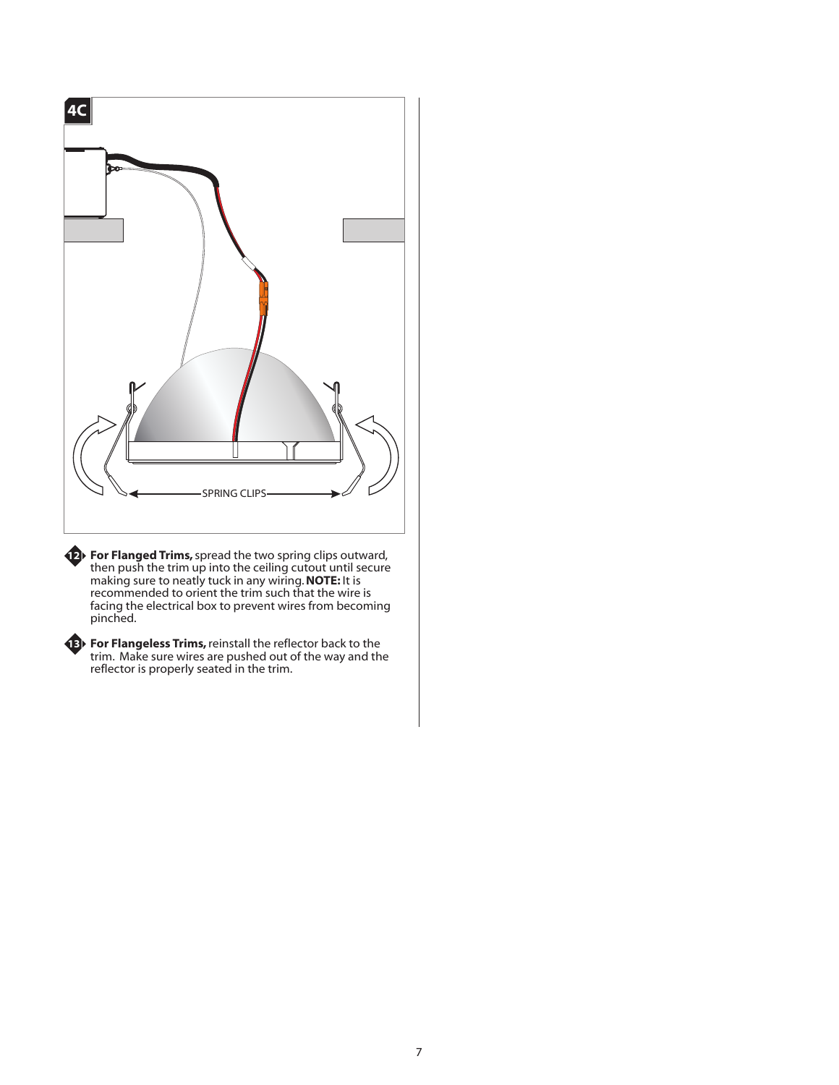

**For Flanged Trims,** spread the two spring clips outward, then push the trim up into the ceiling cutout until secure making sure to neatly tuck in any wiring. **NOTE:** It is recommended to orient the trim such that the wire is facing the electrical box to prevent wires from becoming pinched.

**13**

**12**

**For Flangeless Trims,**reinstall the reflector back to the trim. Make sure wires are pushed out of the way and the reflector is properly seated in the trim.